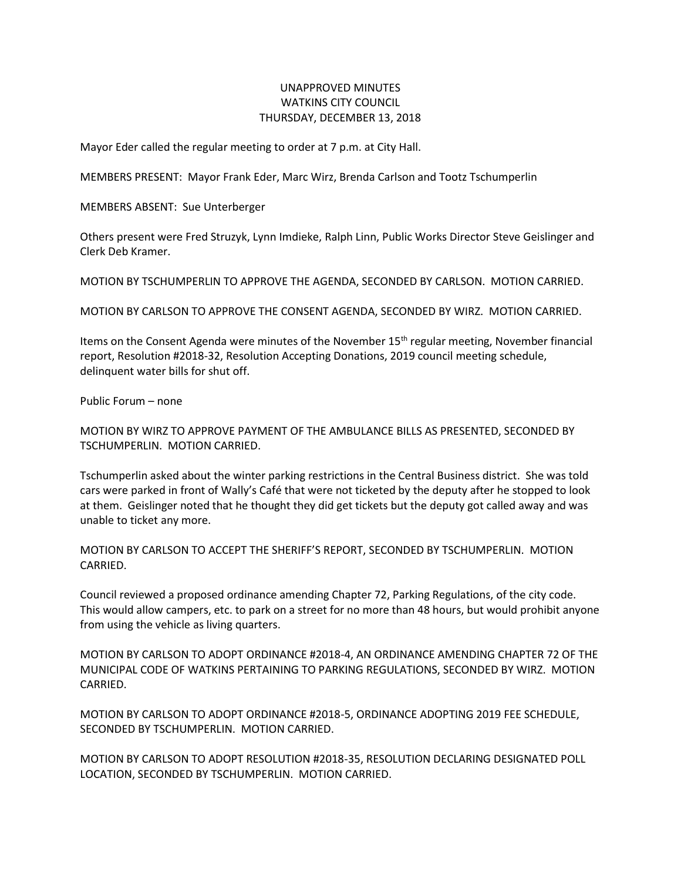## UNAPPROVED MINUTES WATKINS CITY COUNCIL THURSDAY, DECEMBER 13, 2018

Mayor Eder called the regular meeting to order at 7 p.m. at City Hall.

MEMBERS PRESENT: Mayor Frank Eder, Marc Wirz, Brenda Carlson and Tootz Tschumperlin

MEMBERS ABSENT: Sue Unterberger

Others present were Fred Struzyk, Lynn Imdieke, Ralph Linn, Public Works Director Steve Geislinger and Clerk Deb Kramer.

MOTION BY TSCHUMPERLIN TO APPROVE THE AGENDA, SECONDED BY CARLSON. MOTION CARRIED.

MOTION BY CARLSON TO APPROVE THE CONSENT AGENDA, SECONDED BY WIRZ. MOTION CARRIED.

Items on the Consent Agenda were minutes of the November 15th regular meeting, November financial report, Resolution #2018-32, Resolution Accepting Donations, 2019 council meeting schedule, delinquent water bills for shut off.

Public Forum – none

MOTION BY WIRZ TO APPROVE PAYMENT OF THE AMBULANCE BILLS AS PRESENTED, SECONDED BY TSCHUMPERLIN. MOTION CARRIED.

Tschumperlin asked about the winter parking restrictions in the Central Business district. She was told cars were parked in front of Wally's Café that were not ticketed by the deputy after he stopped to look at them. Geislinger noted that he thought they did get tickets but the deputy got called away and was unable to ticket any more.

MOTION BY CARLSON TO ACCEPT THE SHERIFF'S REPORT, SECONDED BY TSCHUMPERLIN. MOTION CARRIED.

Council reviewed a proposed ordinance amending Chapter 72, Parking Regulations, of the city code. This would allow campers, etc. to park on a street for no more than 48 hours, but would prohibit anyone from using the vehicle as living quarters.

MOTION BY CARLSON TO ADOPT ORDINANCE #2018-4, AN ORDINANCE AMENDING CHAPTER 72 OF THE MUNICIPAL CODE OF WATKINS PERTAINING TO PARKING REGULATIONS, SECONDED BY WIRZ. MOTION CARRIED.

MOTION BY CARLSON TO ADOPT ORDINANCE #2018-5, ORDINANCE ADOPTING 2019 FEE SCHEDULE, SECONDED BY TSCHUMPERLIN. MOTION CARRIED.

MOTION BY CARLSON TO ADOPT RESOLUTION #2018-35, RESOLUTION DECLARING DESIGNATED POLL LOCATION, SECONDED BY TSCHUMPERLIN. MOTION CARRIED.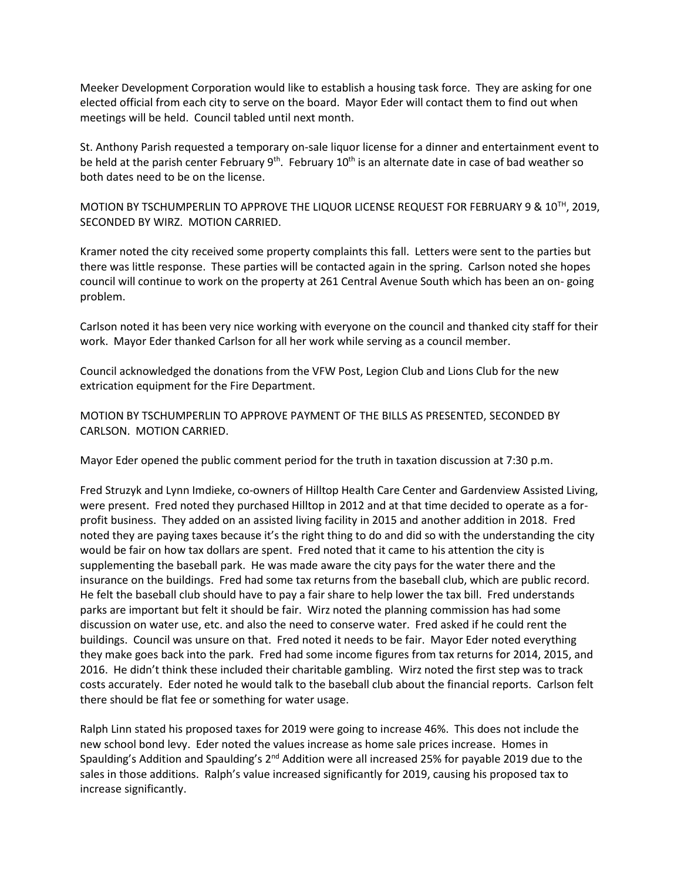Meeker Development Corporation would like to establish a housing task force. They are asking for one elected official from each city to serve on the board. Mayor Eder will contact them to find out when meetings will be held. Council tabled until next month.

St. Anthony Parish requested a temporary on-sale liquor license for a dinner and entertainment event to be held at the parish center February  $9<sup>th</sup>$ . February 10<sup>th</sup> is an alternate date in case of bad weather so both dates need to be on the license.

MOTION BY TSCHUMPERLIN TO APPROVE THE LIQUOR LICENSE REQUEST FOR FEBRUARY 9 & 10<sup>TH</sup>, 2019, SECONDED BY WIRZ. MOTION CARRIED.

Kramer noted the city received some property complaints this fall. Letters were sent to the parties but there was little response. These parties will be contacted again in the spring. Carlson noted she hopes council will continue to work on the property at 261 Central Avenue South which has been an on- going problem.

Carlson noted it has been very nice working with everyone on the council and thanked city staff for their work. Mayor Eder thanked Carlson for all her work while serving as a council member.

Council acknowledged the donations from the VFW Post, Legion Club and Lions Club for the new extrication equipment for the Fire Department.

MOTION BY TSCHUMPERLIN TO APPROVE PAYMENT OF THE BILLS AS PRESENTED, SECONDED BY CARLSON. MOTION CARRIED.

Mayor Eder opened the public comment period for the truth in taxation discussion at 7:30 p.m.

Fred Struzyk and Lynn Imdieke, co-owners of Hilltop Health Care Center and Gardenview Assisted Living, were present. Fred noted they purchased Hilltop in 2012 and at that time decided to operate as a forprofit business. They added on an assisted living facility in 2015 and another addition in 2018. Fred noted they are paying taxes because it's the right thing to do and did so with the understanding the city would be fair on how tax dollars are spent. Fred noted that it came to his attention the city is supplementing the baseball park. He was made aware the city pays for the water there and the insurance on the buildings. Fred had some tax returns from the baseball club, which are public record. He felt the baseball club should have to pay a fair share to help lower the tax bill. Fred understands parks are important but felt it should be fair. Wirz noted the planning commission has had some discussion on water use, etc. and also the need to conserve water. Fred asked if he could rent the buildings. Council was unsure on that. Fred noted it needs to be fair. Mayor Eder noted everything they make goes back into the park. Fred had some income figures from tax returns for 2014, 2015, and 2016. He didn't think these included their charitable gambling. Wirz noted the first step was to track costs accurately. Eder noted he would talk to the baseball club about the financial reports. Carlson felt there should be flat fee or something for water usage.

Ralph Linn stated his proposed taxes for 2019 were going to increase 46%. This does not include the new school bond levy. Eder noted the values increase as home sale prices increase. Homes in Spaulding's Addition and Spaulding's  $2^{nd}$  Addition were all increased 25% for payable 2019 due to the sales in those additions. Ralph's value increased significantly for 2019, causing his proposed tax to increase significantly.